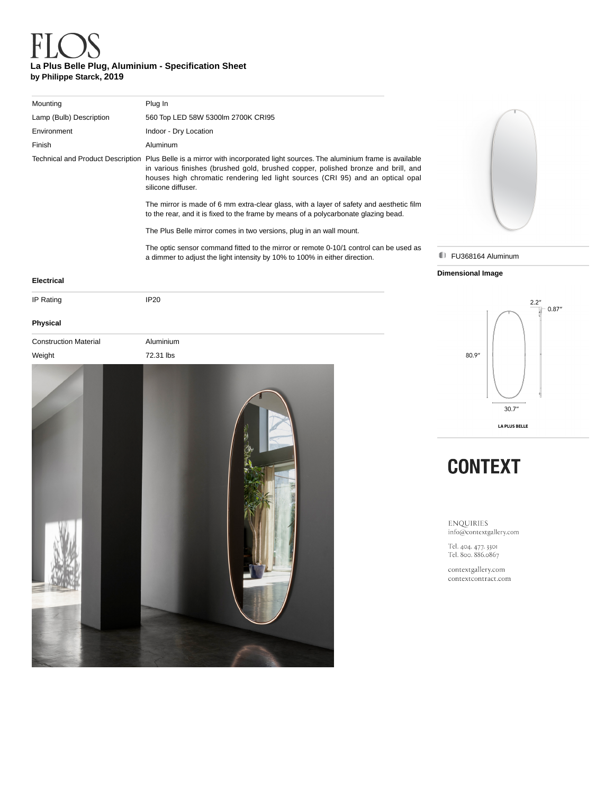## **La Plus Belle Plug, Aluminium - Specification Sheet by Philippe Starck, 2019**

| Mounting                | Plug In                                                                                                                                                                                                                                                                                                                 |
|-------------------------|-------------------------------------------------------------------------------------------------------------------------------------------------------------------------------------------------------------------------------------------------------------------------------------------------------------------------|
| Lamp (Bulb) Description | 560 Top LED 58W 5300lm 2700K CRI95                                                                                                                                                                                                                                                                                      |
| Environment             | Indoor - Dry Location                                                                                                                                                                                                                                                                                                   |
| Finish                  | Aluminum                                                                                                                                                                                                                                                                                                                |
|                         | Technical and Product Description Plus Belle is a mirror with incorporated light sources. The aluminium frame is available<br>in various finishes (brushed gold, brushed copper, polished bronze and brill, and<br>houses high chromatic rendering led light sources (CRI 95) and an optical opal<br>silicone diffuser. |
|                         | The mirror is made of 6 mm extra-clear glass, with a layer of safety and aesthetic film<br>to the rear, and it is fixed to the frame by means of a polycarbonate glazing bead.                                                                                                                                          |
|                         | The Plus Belle mirror comes in two versions, plug in an wall mount.                                                                                                                                                                                                                                                     |
|                         | The optic sensor command fitted to the mirror or remote 0-10/1 control can be used as<br>a dimmer to adjust the light intensity by 10% to 100% in either direction.                                                                                                                                                     |
|                         |                                                                                                                                                                                                                                                                                                                         |



## **FU368164 Aluminum**

### **Dimensional Image**

## IP Rating IP20

**Electrical**

| <b>Physical</b>             |  |  |  |  |
|-----------------------------|--|--|--|--|
| <b>Construction Materia</b> |  |  |  |  |

| Weiaht |  |  |
|--------|--|--|





## **CONTEXT**

ENQUIRIES info@contextgallery.com

Tel. 404. 477. 3301<br>Tel. 800. 886.0867

contextgallery.com contextcontract.com